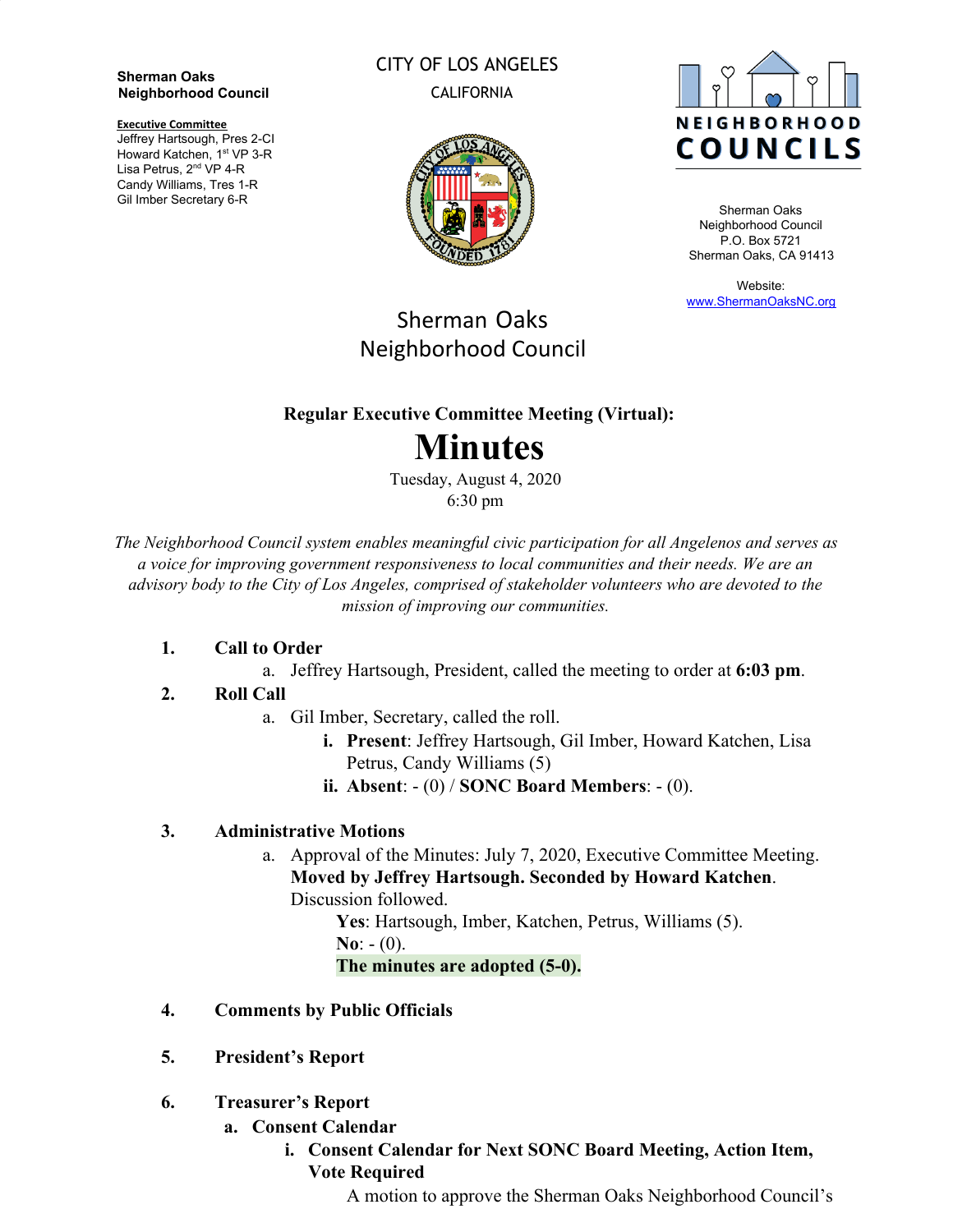**Sherman Oaks Neighborhood Council**

**Executive Committee**

Jeffrey Hartsough, Pres 2-CI Howard Katchen, 1<sup>st</sup> VP 3-R Lisa Petrus, 2<sup>nd</sup> VP 4-R Candy Williams, Tres 1-R Gil Imber Secretary 6-R

CITY OF LOS ANGELES CALIFORNIA





Sherman Oaks Neighborhood Council P.O. Box 5721 Sherman Oaks, CA 91413

Website: [www.ShermanOaksNC.org](http://www.shermanoaksnc.org/)

## Sherman Oaks Neighborhood Council

### **Regular Executive Committee Meeting (Virtual):**

# **Minutes**

Tuesday, August 4, 2020 6:30 pm

*The Neighborhood Council system enables meaningful civic participation for all Angelenos and serves as a voice for improving government responsiveness to local communities and their needs. We are an advisory body to the City of Los Angeles, comprised of stakeholder volunteers who are devoted to the mission of improving our communities.*

#### **1. Call to Order**

a. Jeffrey Hartsough, President, called the meeting to order at **6:03 pm**.

#### **2. Roll Call**

- a. Gil Imber, Secretary, called the roll.
	- **i. Present**: Jeffrey Hartsough, Gil Imber, Howard Katchen, Lisa Petrus, Candy Williams (5)
	- **ii. Absent**: (0) / **SONC Board Members**: (0).

#### **3. Administrative Motions**

a. Approval of the Minutes: July 7, 2020, Executive Committee Meeting. **Moved by Jeffrey Hartsough. Seconded by Howard Katchen**. Discussion followed.

> **Yes**: Hartsough, Imber, Katchen, Petrus, Williams (5). **No**:  $- (0)$ .

**The minutes are adopted (5-0).**

- **4. Comments by Public Officials**
- **5. President's Report**
- **6. Treasurer's Report**
	- **a. Consent Calendar**
		- **i. Consent Calendar for Next SONC Board Meeting, Action Item, Vote Required**

A motion to approve the Sherman Oaks Neighborhood Council's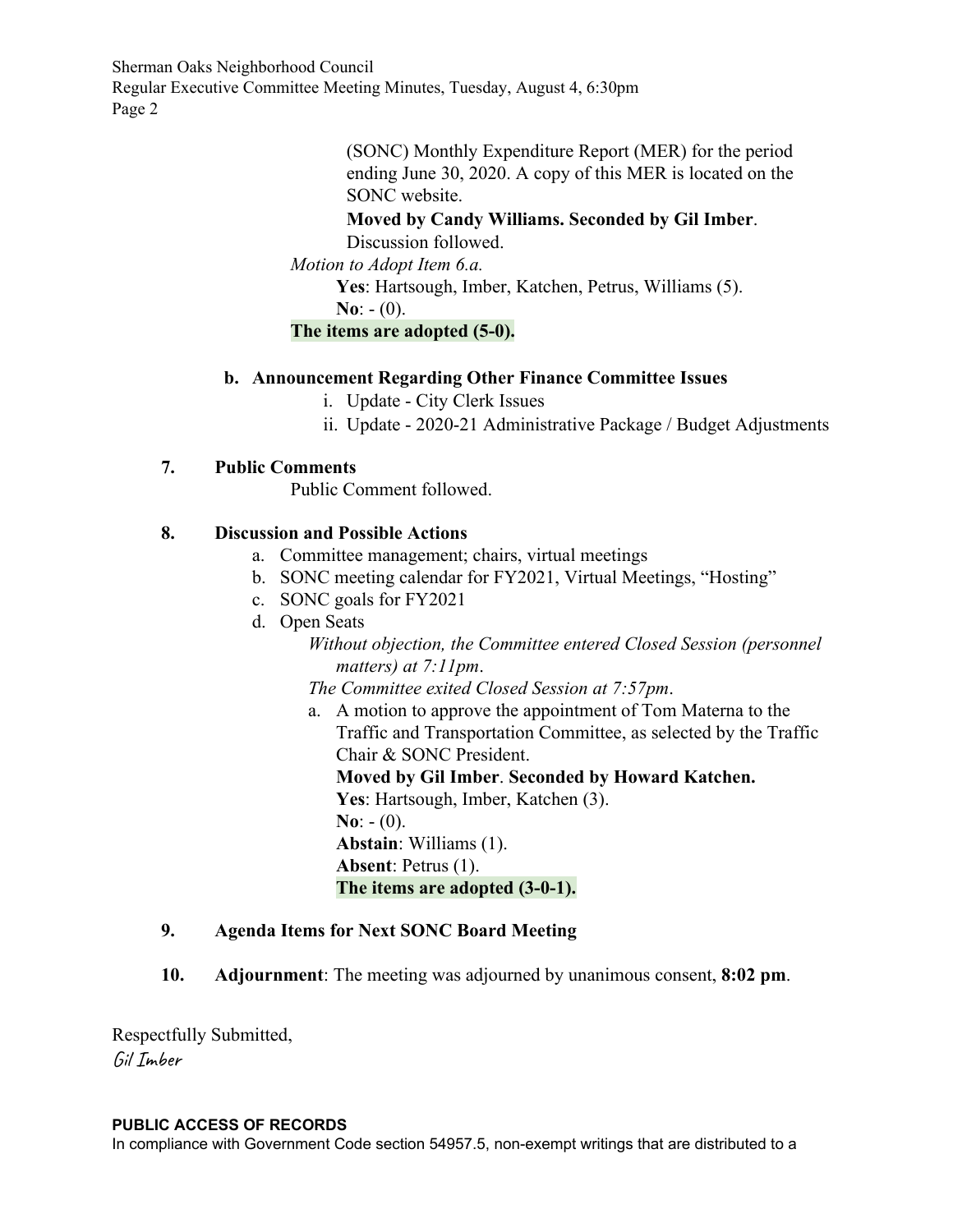Sherman Oaks Neighborhood Council Regular Executive Committee Meeting Minutes, Tuesday, August 4, 6:30pm Page 2

> (SONC) Monthly Expenditure Report (MER) for the period ending June 30, 2020. A copy of this MER is located on the SONC website.

**Moved by Candy Williams. Seconded by Gil Imber**.

Discussion followed.

*Motion to Adopt Item 6.a.*

**Yes**: Hartsough, Imber, Katchen, Petrus, Williams (5).

**No**:  $- (0)$ .

#### **The items are adopted (5-0).**

#### **b. Announcement Regarding Other Finance Committee Issues**

- i. Update City Clerk Issues
- ii. Update 2020-21 Administrative Package / Budget Adjustments

#### **7. Public Comments**

Public Comment followed.

#### **8. Discussion and Possible Actions**

- a. Committee management; chairs, virtual meetings
- b. SONC meeting calendar for FY2021, Virtual Meetings, "Hosting"
- c. SONC goals for FY2021
- d. Open Seats

*Without objection, the Committee entered Closed Session (personnel matters) at 7:11pm*.

*The Committee exited Closed Session at 7:57pm*.

a. A motion to approve the appointment of Tom Materna to the Traffic and Transportation Committee, as selected by the Traffic Chair & SONC President. **Moved by Gil Imber**. **Seconded by Howard Katchen. Yes**: Hartsough, Imber, Katchen (3). **No**:  $- (0)$ .

**Abstain**: Williams (1). **Absent**: Petrus (1).

**The items are adopted (3-0-1).**

#### **9. Agenda Items for Next SONC Board Meeting**

**10. Adjournment**: The meeting was adjourned by unanimous consent, **8:02 pm**.

Respectfully Submitted, Gil Imber

#### **PUBLIC ACCESS OF RECORDS**

In compliance with Government Code section 54957.5, non-exempt writings that are distributed to a